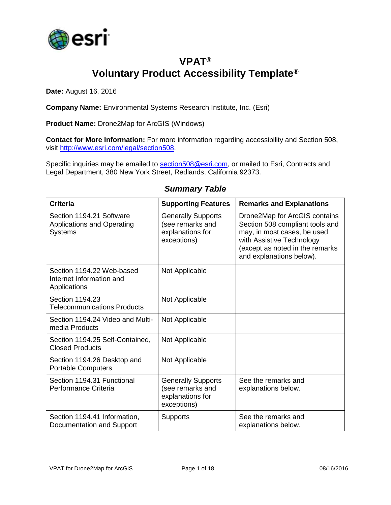

### **VPAT® Voluntary Product Accessibility Template®**

**Date:** August 16, 2016

**Company Name:** Environmental Systems Research Institute, Inc. (Esri)

**Product Name:** Drone2Map for ArcGIS (Windows)

**Contact for More Information:** For more information regarding accessibility and Section 508, visit [http://www.esri.com/legal/section508.](http://www.esri.com/legal/section508)

Specific inquiries may be emailed to [section508@esri.com,](mailto:section508@esri.com) or mailed to Esri, Contracts and Legal Department, 380 New York Street, Redlands, California 92373.

| <b>Criteria</b>                                                                 | <b>Supporting Features</b>                                                       | <b>Remarks and Explanations</b>                                                                                                                                                             |
|---------------------------------------------------------------------------------|----------------------------------------------------------------------------------|---------------------------------------------------------------------------------------------------------------------------------------------------------------------------------------------|
| Section 1194.21 Software<br><b>Applications and Operating</b><br><b>Systems</b> | <b>Generally Supports</b><br>(see remarks and<br>explanations for<br>exceptions) | Drone2Map for ArcGIS contains<br>Section 508 compliant tools and<br>may, in most cases, be used<br>with Assistive Technology<br>(except as noted in the remarks<br>and explanations below). |
| Section 1194.22 Web-based<br>Internet Information and<br>Applications           | Not Applicable                                                                   |                                                                                                                                                                                             |
| Section 1194.23<br><b>Telecommunications Products</b>                           | Not Applicable                                                                   |                                                                                                                                                                                             |
| Section 1194.24 Video and Multi-<br>media Products                              | Not Applicable                                                                   |                                                                                                                                                                                             |
| Section 1194.25 Self-Contained,<br><b>Closed Products</b>                       | Not Applicable                                                                   |                                                                                                                                                                                             |
| Section 1194.26 Desktop and<br><b>Portable Computers</b>                        | Not Applicable                                                                   |                                                                                                                                                                                             |
| Section 1194.31 Functional<br>Performance Criteria                              | <b>Generally Supports</b><br>(see remarks and<br>explanations for<br>exceptions) | See the remarks and<br>explanations below.                                                                                                                                                  |
| Section 1194.41 Information,<br>Documentation and Support                       | <b>Supports</b>                                                                  | See the remarks and<br>explanations below.                                                                                                                                                  |

#### *Summary Table*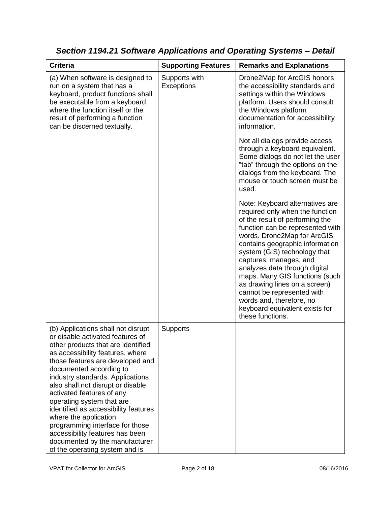| <b>Criteria</b>                                                                                                                                                                                                                                                                                                                                                                                                                                                                                                                                               | <b>Supporting Features</b>  | <b>Remarks and Explanations</b>                                                                                                                                                                                                                                                                                                                                                                                                                                                           |
|---------------------------------------------------------------------------------------------------------------------------------------------------------------------------------------------------------------------------------------------------------------------------------------------------------------------------------------------------------------------------------------------------------------------------------------------------------------------------------------------------------------------------------------------------------------|-----------------------------|-------------------------------------------------------------------------------------------------------------------------------------------------------------------------------------------------------------------------------------------------------------------------------------------------------------------------------------------------------------------------------------------------------------------------------------------------------------------------------------------|
| (a) When software is designed to<br>run on a system that has a<br>keyboard, product functions shall<br>be executable from a keyboard<br>where the function itself or the<br>result of performing a function<br>can be discerned textually.                                                                                                                                                                                                                                                                                                                    | Supports with<br>Exceptions | Drone2Map for ArcGIS honors<br>the accessibility standards and<br>settings within the Windows<br>platform. Users should consult<br>the Windows platform<br>documentation for accessibility<br>information.                                                                                                                                                                                                                                                                                |
|                                                                                                                                                                                                                                                                                                                                                                                                                                                                                                                                                               |                             | Not all dialogs provide access<br>through a keyboard equivalent.<br>Some dialogs do not let the user<br>"tab" through the options on the<br>dialogs from the keyboard. The<br>mouse or touch screen must be<br>used.                                                                                                                                                                                                                                                                      |
|                                                                                                                                                                                                                                                                                                                                                                                                                                                                                                                                                               |                             | Note: Keyboard alternatives are<br>required only when the function<br>of the result of performing the<br>function can be represented with<br>words. Drone2Map for ArcGIS<br>contains geographic information<br>system (GIS) technology that<br>captures, manages, and<br>analyzes data through digital<br>maps. Many GIS functions (such<br>as drawing lines on a screen)<br>cannot be represented with<br>words and, therefore, no<br>keyboard equivalent exists for<br>these functions. |
| (b) Applications shall not disrupt<br>or disable activated features of<br>other products that are identified<br>as accessibility features, where<br>those features are developed and<br>documented according to<br>industry standards. Applications<br>also shall not disrupt or disable<br>activated features of any<br>operating system that are<br>identified as accessibility features<br>where the application<br>programming interface for those<br>accessibility features has been<br>documented by the manufacturer<br>of the operating system and is | <b>Supports</b>             |                                                                                                                                                                                                                                                                                                                                                                                                                                                                                           |

*Section 1194.21 Software Applications and Operating Systems – Detail*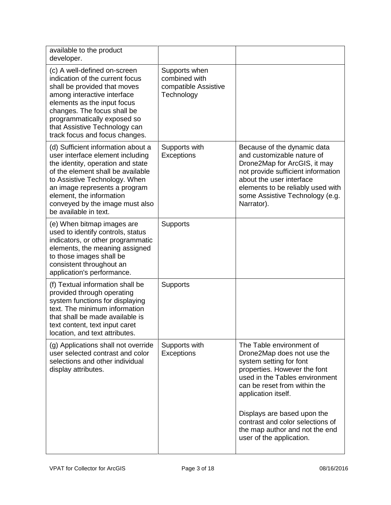| available to the product<br>developer.                                                                                                                                                                                                                                                                     |                                                                      |                                                                                                                                                                                                                                                   |
|------------------------------------------------------------------------------------------------------------------------------------------------------------------------------------------------------------------------------------------------------------------------------------------------------------|----------------------------------------------------------------------|---------------------------------------------------------------------------------------------------------------------------------------------------------------------------------------------------------------------------------------------------|
| (c) A well-defined on-screen<br>indication of the current focus<br>shall be provided that moves<br>among interactive interface<br>elements as the input focus<br>changes. The focus shall be<br>programmatically exposed so<br>that Assistive Technology can<br>track focus and focus changes.             | Supports when<br>combined with<br>compatible Assistive<br>Technology |                                                                                                                                                                                                                                                   |
| (d) Sufficient information about a<br>user interface element including<br>the identity, operation and state<br>of the element shall be available<br>to Assistive Technology. When<br>an image represents a program<br>element, the information<br>conveyed by the image must also<br>be available in text. | Supports with<br><b>Exceptions</b>                                   | Because of the dynamic data<br>and customizable nature of<br>Drone2Map for ArcGIS, it may<br>not provide sufficient information<br>about the user interface<br>elements to be reliably used with<br>some Assistive Technology (e.g.<br>Narrator). |
| (e) When bitmap images are<br>used to identify controls, status<br>indicators, or other programmatic<br>elements, the meaning assigned<br>to those images shall be<br>consistent throughout an<br>application's performance.                                                                               | <b>Supports</b>                                                      |                                                                                                                                                                                                                                                   |
| (f) Textual information shall be<br>provided through operating<br>system functions for displaying<br>text. The minimum information<br>that shall be made available is<br>text content, text input caret<br>location, and text attributes.                                                                  | <b>Supports</b>                                                      |                                                                                                                                                                                                                                                   |
| (g) Applications shall not override<br>user selected contrast and color<br>selections and other individual<br>display attributes.                                                                                                                                                                          | Supports with<br><b>Exceptions</b>                                   | The Table environment of<br>Drone2Map does not use the<br>system setting for font<br>properties. However the font<br>used in the Tables environment<br>can be reset from within the<br>application itself.                                        |
|                                                                                                                                                                                                                                                                                                            |                                                                      | Displays are based upon the<br>contrast and color selections of<br>the map author and not the end<br>user of the application.                                                                                                                     |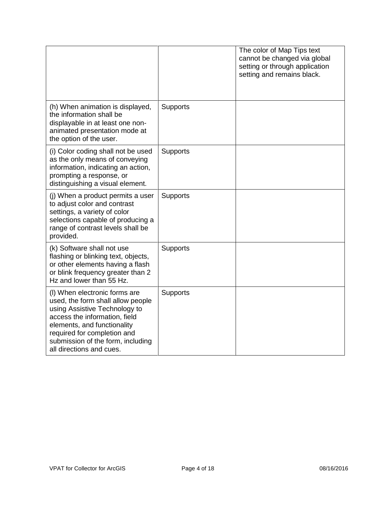|                                                                                                                                                                                                                                                                     |                 | The color of Map Tips text<br>cannot be changed via global<br>setting or through application<br>setting and remains black. |
|---------------------------------------------------------------------------------------------------------------------------------------------------------------------------------------------------------------------------------------------------------------------|-----------------|----------------------------------------------------------------------------------------------------------------------------|
| (h) When animation is displayed,<br>the information shall be<br>displayable in at least one non-<br>animated presentation mode at<br>the option of the user.                                                                                                        | Supports        |                                                                                                                            |
| (i) Color coding shall not be used<br>as the only means of conveying<br>information, indicating an action,<br>prompting a response, or<br>distinguishing a visual element.                                                                                          | <b>Supports</b> |                                                                                                                            |
| (j) When a product permits a user<br>to adjust color and contrast<br>settings, a variety of color<br>selections capable of producing a<br>range of contrast levels shall be<br>provided.                                                                            | Supports        |                                                                                                                            |
| (k) Software shall not use<br>flashing or blinking text, objects,<br>or other elements having a flash<br>or blink frequency greater than 2<br>Hz and lower than 55 Hz.                                                                                              | <b>Supports</b> |                                                                                                                            |
| (I) When electronic forms are<br>used, the form shall allow people<br>using Assistive Technology to<br>access the information, field<br>elements, and functionality<br>required for completion and<br>submission of the form, including<br>all directions and cues. | <b>Supports</b> |                                                                                                                            |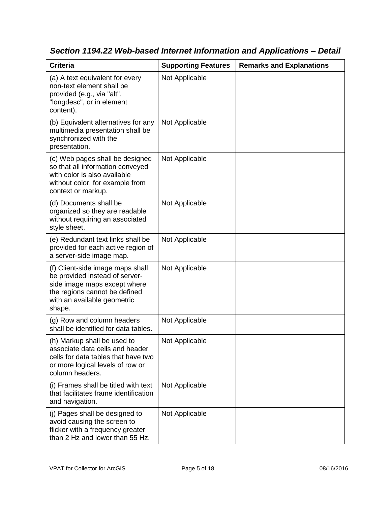| <b>Criteria</b>                                                                                                                                                              | <b>Supporting Features</b> | <b>Remarks and Explanations</b> |
|------------------------------------------------------------------------------------------------------------------------------------------------------------------------------|----------------------------|---------------------------------|
| (a) A text equivalent for every<br>non-text element shall be<br>provided (e.g., via "alt",<br>"longdesc", or in element<br>content).                                         | Not Applicable             |                                 |
| (b) Equivalent alternatives for any<br>multimedia presentation shall be<br>synchronized with the<br>presentation.                                                            | Not Applicable             |                                 |
| (c) Web pages shall be designed<br>so that all information conveyed<br>with color is also available<br>without color, for example from<br>context or markup.                 | Not Applicable             |                                 |
| (d) Documents shall be<br>organized so they are readable<br>without requiring an associated<br>style sheet.                                                                  | Not Applicable             |                                 |
| (e) Redundant text links shall be<br>provided for each active region of<br>a server-side image map.                                                                          | Not Applicable             |                                 |
| (f) Client-side image maps shall<br>be provided instead of server-<br>side image maps except where<br>the regions cannot be defined<br>with an available geometric<br>shape. | Not Applicable             |                                 |
| (g) Row and column headers<br>shall be identified for data tables.                                                                                                           | Not Applicable             |                                 |
| (h) Markup shall be used to<br>associate data cells and header<br>cells for data tables that have two<br>or more logical levels of row or<br>column headers.                 | Not Applicable             |                                 |
| (i) Frames shall be titled with text<br>that facilitates frame identification<br>and navigation.                                                                             | Not Applicable             |                                 |
| (j) Pages shall be designed to<br>avoid causing the screen to<br>flicker with a frequency greater<br>than 2 Hz and lower than 55 Hz.                                         | Not Applicable             |                                 |

*Section 1194.22 Web-based Internet Information and Applications – Detail*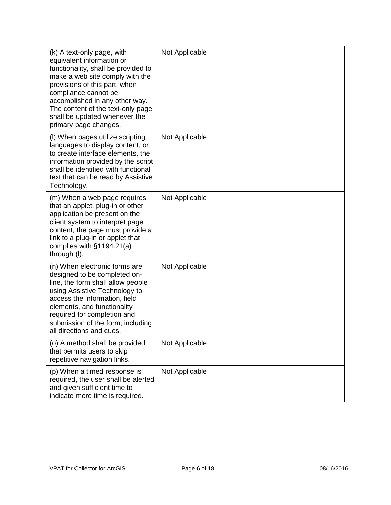| (k) A text-only page, with<br>equivalent information or<br>functionality, shall be provided to<br>make a web site comply with the<br>provisions of this part, when<br>compliance cannot be<br>accomplished in any other way.<br>The content of the text-only page<br>shall be updated whenever the<br>primary page changes. | Not Applicable |  |
|-----------------------------------------------------------------------------------------------------------------------------------------------------------------------------------------------------------------------------------------------------------------------------------------------------------------------------|----------------|--|
| (I) When pages utilize scripting<br>languages to display content, or<br>to create interface elements, the<br>information provided by the script<br>shall be identified with functional<br>text that can be read by Assistive<br>Technology.                                                                                 | Not Applicable |  |
| (m) When a web page requires<br>that an applet, plug-in or other<br>application be present on the<br>client system to interpret page<br>content, the page must provide a<br>link to a plug-in or applet that<br>complies with $§1194.21(a)$<br>through (I).                                                                 | Not Applicable |  |
| (n) When electronic forms are<br>designed to be completed on-<br>line, the form shall allow people<br>using Assistive Technology to<br>access the information, field<br>elements, and functionality<br>required for completion and<br>submission of the form, including<br>all directions and cues.                         | Not Applicable |  |
| (o) A method shall be provided<br>that permits users to skip<br>repetitive navigation links.                                                                                                                                                                                                                                | Not Applicable |  |
| (p) When a timed response is<br>required, the user shall be alerted<br>and given sufficient time to<br>indicate more time is required.                                                                                                                                                                                      | Not Applicable |  |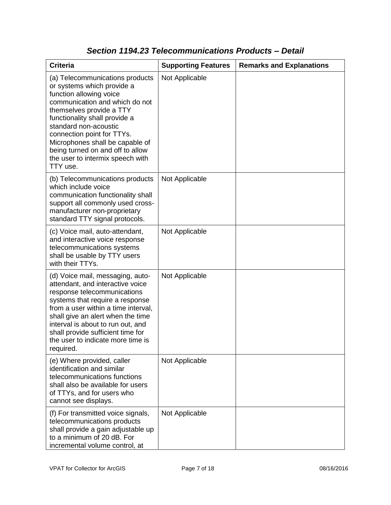| <b>Criteria</b>                                                                                                                                                                                                                                                                                                                                                       | <b>Supporting Features</b> | <b>Remarks and Explanations</b> |
|-----------------------------------------------------------------------------------------------------------------------------------------------------------------------------------------------------------------------------------------------------------------------------------------------------------------------------------------------------------------------|----------------------------|---------------------------------|
| (a) Telecommunications products<br>or systems which provide a<br>function allowing voice<br>communication and which do not<br>themselves provide a TTY<br>functionality shall provide a<br>standard non-acoustic<br>connection point for TTYs.<br>Microphones shall be capable of<br>being turned on and off to allow<br>the user to intermix speech with<br>TTY use. | Not Applicable             |                                 |
| (b) Telecommunications products<br>which include voice<br>communication functionality shall<br>support all commonly used cross-<br>manufacturer non-proprietary<br>standard TTY signal protocols.                                                                                                                                                                     | Not Applicable             |                                 |
| (c) Voice mail, auto-attendant,<br>and interactive voice response<br>telecommunications systems<br>shall be usable by TTY users<br>with their TTYs.                                                                                                                                                                                                                   | Not Applicable             |                                 |
| (d) Voice mail, messaging, auto-<br>attendant, and interactive voice<br>response telecommunications<br>systems that require a response<br>from a user within a time interval,<br>shall give an alert when the time<br>interval is about to run out, and<br>shall provide sufficient time for<br>the user to indicate more time is<br>required.                        | Not Applicable             |                                 |
| (e) Where provided, caller<br>identification and similar<br>telecommunications functions<br>shall also be available for users<br>of TTYs, and for users who<br>cannot see displays.                                                                                                                                                                                   | Not Applicable             |                                 |
| (f) For transmitted voice signals,<br>telecommunications products<br>shall provide a gain adjustable up<br>to a minimum of 20 dB. For<br>incremental volume control, at                                                                                                                                                                                               | Not Applicable             |                                 |

### *Section 1194.23 Telecommunications Products – Detail*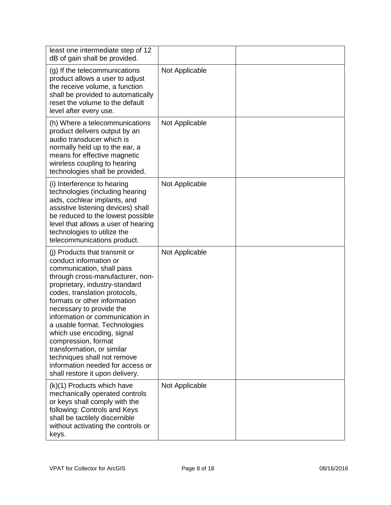| least one intermediate step of 12<br>dB of gain shall be provided.                                                                                                                                                                                                                                                                                                                                                                                                                                                   |                |  |
|----------------------------------------------------------------------------------------------------------------------------------------------------------------------------------------------------------------------------------------------------------------------------------------------------------------------------------------------------------------------------------------------------------------------------------------------------------------------------------------------------------------------|----------------|--|
| (g) If the telecommunications<br>product allows a user to adjust<br>the receive volume, a function<br>shall be provided to automatically<br>reset the volume to the default<br>level after every use.                                                                                                                                                                                                                                                                                                                | Not Applicable |  |
| (h) Where a telecommunications<br>product delivers output by an<br>audio transducer which is<br>normally held up to the ear, a<br>means for effective magnetic<br>wireless coupling to hearing<br>technologies shall be provided.                                                                                                                                                                                                                                                                                    | Not Applicable |  |
| (i) Interference to hearing<br>technologies (including hearing<br>aids, cochlear implants, and<br>assistive listening devices) shall<br>be reduced to the lowest possible<br>level that allows a user of hearing<br>technologies to utilize the<br>telecommunications product.                                                                                                                                                                                                                                       | Not Applicable |  |
| (i) Products that transmit or<br>conduct information or<br>communication, shall pass<br>through cross-manufacturer, non-<br>proprietary, industry-standard<br>codes, translation protocols,<br>formats or other information<br>necessary to provide the<br>information or communication in<br>a usable format. Technologies<br>which use encoding, signal<br>compression, format<br>transformation, or similar<br>techniques shall not remove<br>information needed for access or<br>shall restore it upon delivery. | Not Applicable |  |
| (k)(1) Products which have<br>mechanically operated controls<br>or keys shall comply with the<br>following: Controls and Keys<br>shall be tactilely discernible<br>without activating the controls or<br>keys.                                                                                                                                                                                                                                                                                                       | Not Applicable |  |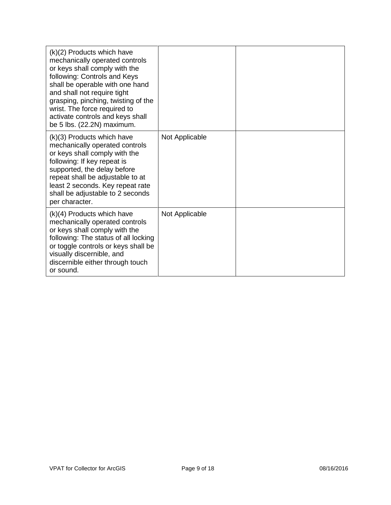| $(k)(2)$ Products which have<br>mechanically operated controls<br>or keys shall comply with the<br>following: Controls and Keys<br>shall be operable with one hand<br>and shall not require tight<br>grasping, pinching, twisting of the<br>wrist. The force required to<br>activate controls and keys shall<br>be 5 lbs. (22.2N) maximum. |                |  |
|--------------------------------------------------------------------------------------------------------------------------------------------------------------------------------------------------------------------------------------------------------------------------------------------------------------------------------------------|----------------|--|
| (k)(3) Products which have<br>mechanically operated controls<br>or keys shall comply with the<br>following: If key repeat is<br>supported, the delay before<br>repeat shall be adjustable to at<br>least 2 seconds. Key repeat rate<br>shall be adjustable to 2 seconds<br>per character.                                                  | Not Applicable |  |
| $(k)(4)$ Products which have<br>mechanically operated controls<br>or keys shall comply with the<br>following: The status of all locking<br>or toggle controls or keys shall be<br>visually discernible, and<br>discernible either through touch<br>or sound.                                                                               | Not Applicable |  |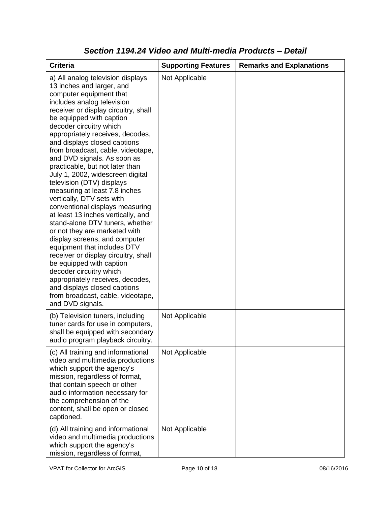| <b>Criteria</b>                                                                                                                                                                                                                                                                                                                                                                                                                                                                                                                                                                                                                                                                                                                                                                                                                                                                                                                                                           | <b>Supporting Features</b> | <b>Remarks and Explanations</b> |
|---------------------------------------------------------------------------------------------------------------------------------------------------------------------------------------------------------------------------------------------------------------------------------------------------------------------------------------------------------------------------------------------------------------------------------------------------------------------------------------------------------------------------------------------------------------------------------------------------------------------------------------------------------------------------------------------------------------------------------------------------------------------------------------------------------------------------------------------------------------------------------------------------------------------------------------------------------------------------|----------------------------|---------------------------------|
| a) All analog television displays<br>13 inches and larger, and<br>computer equipment that<br>includes analog television<br>receiver or display circuitry, shall<br>be equipped with caption<br>decoder circuitry which<br>appropriately receives, decodes,<br>and displays closed captions<br>from broadcast, cable, videotape,<br>and DVD signals. As soon as<br>practicable, but not later than<br>July 1, 2002, widescreen digital<br>television (DTV) displays<br>measuring at least 7.8 inches<br>vertically, DTV sets with<br>conventional displays measuring<br>at least 13 inches vertically, and<br>stand-alone DTV tuners, whether<br>or not they are marketed with<br>display screens, and computer<br>equipment that includes DTV<br>receiver or display circuitry, shall<br>be equipped with caption<br>decoder circuitry which<br>appropriately receives, decodes,<br>and displays closed captions<br>from broadcast, cable, videotape,<br>and DVD signals. | Not Applicable             |                                 |
| (b) Television tuners, including<br>tuner cards for use in computers,<br>shall be equipped with secondary<br>audio program playback circuitry.                                                                                                                                                                                                                                                                                                                                                                                                                                                                                                                                                                                                                                                                                                                                                                                                                            | Not Applicable             |                                 |
| (c) All training and informational<br>video and multimedia productions<br>which support the agency's<br>mission, regardless of format,<br>that contain speech or other<br>audio information necessary for<br>the comprehension of the<br>content, shall be open or closed<br>captioned.                                                                                                                                                                                                                                                                                                                                                                                                                                                                                                                                                                                                                                                                                   | Not Applicable             |                                 |
| (d) All training and informational<br>video and multimedia productions<br>which support the agency's<br>mission, regardless of format,                                                                                                                                                                                                                                                                                                                                                                                                                                                                                                                                                                                                                                                                                                                                                                                                                                    | Not Applicable             |                                 |

### *Section 1194.24 Video and Multi-media Products – Detail*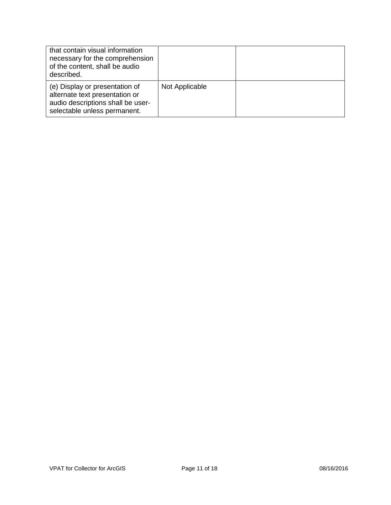| that contain visual information<br>necessary for the comprehension<br>of the content, shall be audio<br>described.                    |                |  |
|---------------------------------------------------------------------------------------------------------------------------------------|----------------|--|
| (e) Display or presentation of<br>alternate text presentation or<br>audio descriptions shall be user-<br>selectable unless permanent. | Not Applicable |  |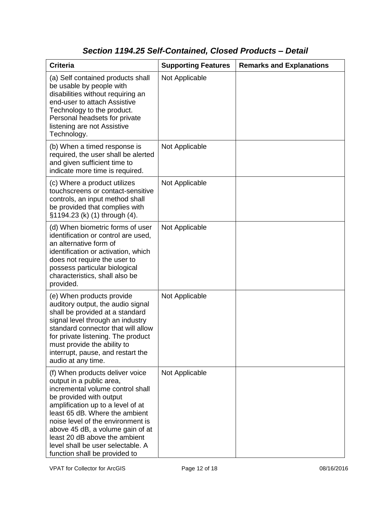# *Section 1194.25 Self-Contained, Closed Products – Detail*

| <b>Criteria</b>                                                                                                                                                                                                                                                                                                                                                                   | <b>Supporting Features</b> | <b>Remarks and Explanations</b> |
|-----------------------------------------------------------------------------------------------------------------------------------------------------------------------------------------------------------------------------------------------------------------------------------------------------------------------------------------------------------------------------------|----------------------------|---------------------------------|
| (a) Self contained products shall<br>be usable by people with<br>disabilities without requiring an<br>end-user to attach Assistive<br>Technology to the product.<br>Personal headsets for private<br>listening are not Assistive<br>Technology.                                                                                                                                   | Not Applicable             |                                 |
| (b) When a timed response is<br>required, the user shall be alerted<br>and given sufficient time to<br>indicate more time is required.                                                                                                                                                                                                                                            | Not Applicable             |                                 |
| (c) Where a product utilizes<br>touchscreens or contact-sensitive<br>controls, an input method shall<br>be provided that complies with<br>§1194.23 (k) (1) through (4).                                                                                                                                                                                                           | Not Applicable             |                                 |
| (d) When biometric forms of user<br>identification or control are used,<br>an alternative form of<br>identification or activation, which<br>does not require the user to<br>possess particular biological<br>characteristics, shall also be<br>provided.                                                                                                                          | Not Applicable             |                                 |
| (e) When products provide<br>auditory output, the audio signal<br>shall be provided at a standard<br>signal level through an industry<br>standard connector that will allow<br>for private listening. The product<br>must provide the ability to<br>interrupt, pause, and restart the<br>audio at any time.                                                                       | Not Applicable             |                                 |
| (f) When products deliver voice<br>output in a public area,<br>incremental volume control shall<br>be provided with output<br>amplification up to a level of at<br>least 65 dB. Where the ambient<br>noise level of the environment is<br>above 45 dB, a volume gain of at<br>least 20 dB above the ambient<br>level shall be user selectable. A<br>function shall be provided to | Not Applicable             |                                 |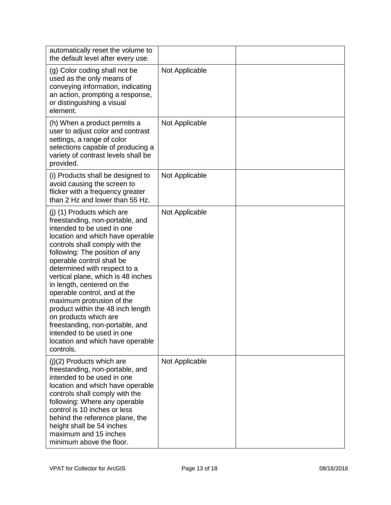| automatically reset the volume to<br>the default level after every use.                                                                                                                                                                                                                                                                                                                                                                                                                                                                                                           |                |  |
|-----------------------------------------------------------------------------------------------------------------------------------------------------------------------------------------------------------------------------------------------------------------------------------------------------------------------------------------------------------------------------------------------------------------------------------------------------------------------------------------------------------------------------------------------------------------------------------|----------------|--|
| (g) Color coding shall not be<br>used as the only means of<br>conveying information, indicating<br>an action, prompting a response,<br>or distinguishing a visual<br>element.                                                                                                                                                                                                                                                                                                                                                                                                     | Not Applicable |  |
| (h) When a product permits a<br>user to adjust color and contrast<br>settings, a range of color<br>selections capable of producing a<br>variety of contrast levels shall be<br>provided.                                                                                                                                                                                                                                                                                                                                                                                          | Not Applicable |  |
| (i) Products shall be designed to<br>avoid causing the screen to<br>flicker with a frequency greater<br>than 2 Hz and lower than 55 Hz.                                                                                                                                                                                                                                                                                                                                                                                                                                           | Not Applicable |  |
| (j) (1) Products which are<br>freestanding, non-portable, and<br>intended to be used in one<br>location and which have operable<br>controls shall comply with the<br>following: The position of any<br>operable control shall be<br>determined with respect to a<br>vertical plane, which is 48 inches<br>in length, centered on the<br>operable control, and at the<br>maximum protrusion of the<br>product within the 48 inch length<br>on products which are<br>freestanding, non-portable, and<br>intended to be used in one<br>location and which have operable<br>controls. | Not Applicable |  |
| $(j)(2)$ Products which are<br>freestanding, non-portable, and<br>intended to be used in one<br>location and which have operable<br>controls shall comply with the<br>following: Where any operable<br>control is 10 inches or less<br>behind the reference plane, the<br>height shall be 54 inches<br>maximum and 15 inches<br>minimum above the floor.                                                                                                                                                                                                                          | Not Applicable |  |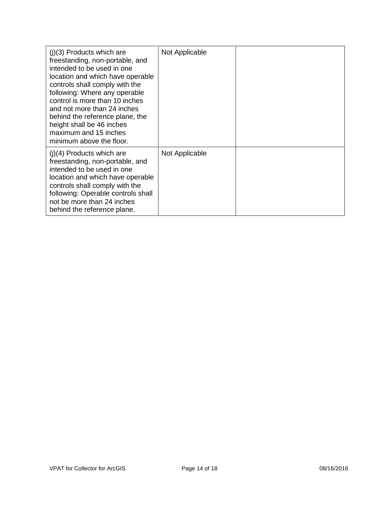| $(i)(3)$ Products which are<br>freestanding, non-portable, and<br>intended to be used in one<br>location and which have operable<br>controls shall comply with the<br>following: Where any operable<br>control is more than 10 inches<br>and not more than 24 inches<br>behind the reference plane, the<br>height shall be 46 inches<br>maximum and 15 inches<br>minimum above the floor. | Not Applicable |  |
|-------------------------------------------------------------------------------------------------------------------------------------------------------------------------------------------------------------------------------------------------------------------------------------------------------------------------------------------------------------------------------------------|----------------|--|
| $(i)(4)$ Products which are<br>freestanding, non-portable, and<br>intended to be used in one<br>location and which have operable<br>controls shall comply with the<br>following: Operable controls shall<br>not be more than 24 inches<br>behind the reference plane.                                                                                                                     | Not Applicable |  |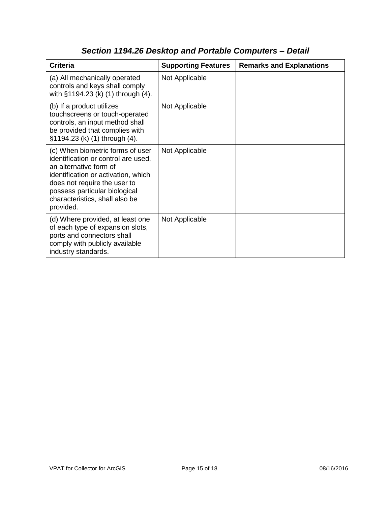| <b>Criteria</b>                                                                                                                                                                                                                                          | <b>Supporting Features</b> | <b>Remarks and Explanations</b> |
|----------------------------------------------------------------------------------------------------------------------------------------------------------------------------------------------------------------------------------------------------------|----------------------------|---------------------------------|
| (a) All mechanically operated<br>controls and keys shall comply<br>with §1194.23 (k) (1) through (4).                                                                                                                                                    | Not Applicable             |                                 |
| (b) If a product utilizes<br>touchscreens or touch-operated<br>controls, an input method shall<br>be provided that complies with<br>§1194.23 (k) (1) through (4).                                                                                        | Not Applicable             |                                 |
| (c) When biometric forms of user<br>identification or control are used,<br>an alternative form of<br>identification or activation, which<br>does not require the user to<br>possess particular biological<br>characteristics, shall also be<br>provided. | Not Applicable             |                                 |
| (d) Where provided, at least one<br>of each type of expansion slots,<br>ports and connectors shall<br>comply with publicly available<br>industry standards.                                                                                              | Not Applicable             |                                 |

# *Section 1194.26 Desktop and Portable Computers – Detail*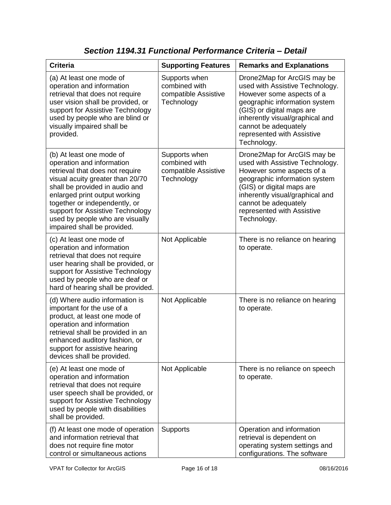| <b>Criteria</b>                                                                                                                                                                                                                                                                                                                        | <b>Supporting Features</b>                                           | <b>Remarks and Explanations</b>                                                                                                                                                                                                                                   |
|----------------------------------------------------------------------------------------------------------------------------------------------------------------------------------------------------------------------------------------------------------------------------------------------------------------------------------------|----------------------------------------------------------------------|-------------------------------------------------------------------------------------------------------------------------------------------------------------------------------------------------------------------------------------------------------------------|
| (a) At least one mode of<br>operation and information<br>retrieval that does not require<br>user vision shall be provided, or<br>support for Assistive Technology<br>used by people who are blind or<br>visually impaired shall be<br>provided.                                                                                        | Supports when<br>combined with<br>compatible Assistive<br>Technology | Drone2Map for ArcGIS may be<br>used with Assistive Technology.<br>However some aspects of a<br>geographic information system<br>(GIS) or digital maps are<br>inherently visual/graphical and<br>cannot be adequately<br>represented with Assistive<br>Technology. |
| (b) At least one mode of<br>operation and information<br>retrieval that does not require<br>visual acuity greater than 20/70<br>shall be provided in audio and<br>enlarged print output working<br>together or independently, or<br>support for Assistive Technology<br>used by people who are visually<br>impaired shall be provided. | Supports when<br>combined with<br>compatible Assistive<br>Technology | Drone2Map for ArcGIS may be<br>used with Assistive Technology.<br>However some aspects of a<br>geographic information system<br>(GIS) or digital maps are<br>inherently visual/graphical and<br>cannot be adequately<br>represented with Assistive<br>Technology. |
| (c) At least one mode of<br>operation and information<br>retrieval that does not require<br>user hearing shall be provided, or<br>support for Assistive Technology<br>used by people who are deaf or<br>hard of hearing shall be provided.                                                                                             | Not Applicable                                                       | There is no reliance on hearing<br>to operate.                                                                                                                                                                                                                    |
| (d) Where audio information is<br>important for the use of a<br>product, at least one mode of<br>operation and information<br>retrieval shall be provided in an<br>enhanced auditory fashion, or<br>support for assistive hearing<br>devices shall be provided.                                                                        | Not Applicable                                                       | There is no reliance on hearing<br>to operate.                                                                                                                                                                                                                    |
| (e) At least one mode of<br>operation and information<br>retrieval that does not require<br>user speech shall be provided, or<br>support for Assistive Technology<br>used by people with disabilities<br>shall be provided.                                                                                                            | Not Applicable                                                       | There is no reliance on speech<br>to operate.                                                                                                                                                                                                                     |
| (f) At least one mode of operation<br>and information retrieval that<br>does not require fine motor<br>control or simultaneous actions                                                                                                                                                                                                 | <b>Supports</b>                                                      | Operation and information<br>retrieval is dependent on<br>operating system settings and<br>configurations. The software                                                                                                                                           |

*Section 1194.31 Functional Performance Criteria – Detail*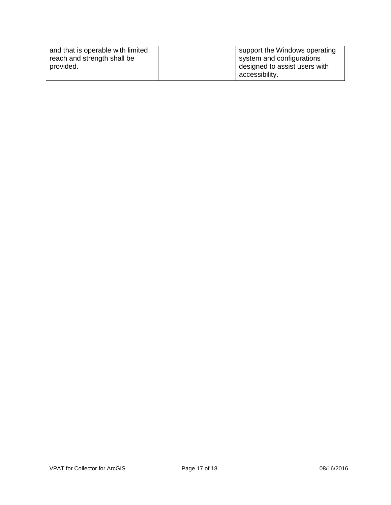| and that is operable with limited | support the Windows operating |
|-----------------------------------|-------------------------------|
| reach and strength shall be       | system and configurations     |
| provided.                         | designed to assist users with |
|                                   | accessibility.                |